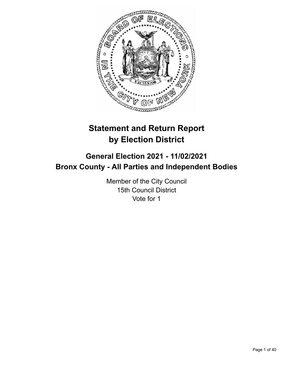

# **Statement and Return Report by Election District**

# **General Election 2021 - 11/02/2021 Bronx County - All Parties and Independent Bodies**

Member of the City Council 15th Council District Vote for 1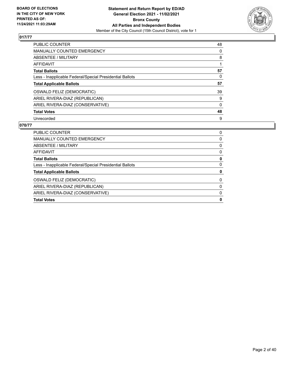

| <b>PUBLIC COUNTER</b>                                    | 48       |
|----------------------------------------------------------|----------|
| MANUALLY COUNTED EMERGENCY                               | 0        |
| ABSENTEE / MILITARY                                      | 8        |
| AFFIDAVIT                                                |          |
| <b>Total Ballots</b>                                     | 57       |
| Less - Inapplicable Federal/Special Presidential Ballots | 0        |
| <b>Total Applicable Ballots</b>                          | 57       |
| OSWALD FELIZ (DEMOCRATIC)                                | 39       |
| ARIEL RIVERA-DIAZ (REPUBLICAN)                           | 9        |
| ARIEL RIVERA-DIAZ (CONSERVATIVE)                         | $\Omega$ |
| <b>Total Votes</b>                                       | 48       |
| Unrecorded                                               | 9        |

| <b>PUBLIC COUNTER</b>                                    | 0 |
|----------------------------------------------------------|---|
| <b>MANUALLY COUNTED EMERGENCY</b>                        | 0 |
| ABSENTEE / MILITARY                                      | 0 |
| AFFIDAVIT                                                | 0 |
| <b>Total Ballots</b>                                     | 0 |
| Less - Inapplicable Federal/Special Presidential Ballots | 0 |
| <b>Total Applicable Ballots</b>                          | 0 |
| OSWALD FELIZ (DEMOCRATIC)                                | 0 |
| ARIEL RIVERA-DIAZ (REPUBLICAN)                           | 0 |
| ARIEL RIVERA-DIAZ (CONSERVATIVE)                         | 0 |
| <b>Total Votes</b>                                       | 0 |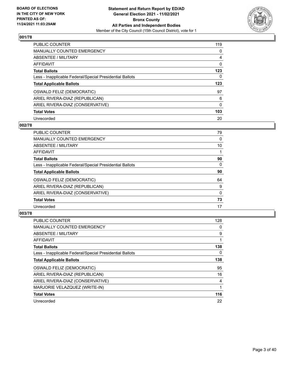

| <b>PUBLIC COUNTER</b>                                    | 119      |
|----------------------------------------------------------|----------|
| <b>MANUALLY COUNTED EMERGENCY</b>                        | $\Omega$ |
| ABSENTEE / MILITARY                                      | 4        |
| AFFIDAVIT                                                | 0        |
| <b>Total Ballots</b>                                     | 123      |
| Less - Inapplicable Federal/Special Presidential Ballots | 0        |
| <b>Total Applicable Ballots</b>                          | 123      |
| OSWALD FELIZ (DEMOCRATIC)                                | 97       |
| ARIEL RIVERA-DIAZ (REPUBLICAN)                           | 6        |
| ARIEL RIVERA-DIAZ (CONSERVATIVE)                         | 0        |
| <b>Total Votes</b>                                       | 103      |
| Unrecorded                                               | 20       |

#### **002/78**

| <b>PUBLIC COUNTER</b>                                    | 79       |
|----------------------------------------------------------|----------|
| <b>MANUALLY COUNTED EMERGENCY</b>                        | 0        |
| ABSENTEE / MILITARY                                      | 10       |
| <b>AFFIDAVIT</b>                                         |          |
| <b>Total Ballots</b>                                     | 90       |
| Less - Inapplicable Federal/Special Presidential Ballots | $\Omega$ |
| <b>Total Applicable Ballots</b>                          | 90       |
| OSWALD FELIZ (DEMOCRATIC)                                | 64       |
| ARIEL RIVERA-DIAZ (REPUBLICAN)                           | 9        |
| ARIEL RIVERA-DIAZ (CONSERVATIVE)                         | 0        |
| <b>Total Votes</b>                                       | 73       |
| Unrecorded                                               | 17       |

| <b>PUBLIC COUNTER</b>                                    | 128 |
|----------------------------------------------------------|-----|
| <b>MANUALLY COUNTED EMERGENCY</b>                        | 0   |
| ABSENTEE / MILITARY                                      | 9   |
| AFFIDAVIT                                                | 1   |
| <b>Total Ballots</b>                                     | 138 |
| Less - Inapplicable Federal/Special Presidential Ballots | 0   |
| <b>Total Applicable Ballots</b>                          | 138 |
| OSWALD FELIZ (DEMOCRATIC)                                | 95  |
| ARIEL RIVERA-DIAZ (REPUBLICAN)                           | 16  |
| ARIEL RIVERA-DIAZ (CONSERVATIVE)                         | 4   |
| MARJORIE VELAZQUEZ (WRITE-IN)                            |     |
| <b>Total Votes</b>                                       | 116 |
| Unrecorded                                               | 22  |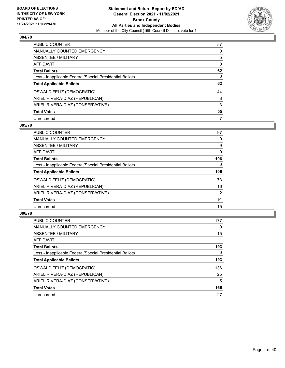

| <b>PUBLIC COUNTER</b>                                    | 57       |
|----------------------------------------------------------|----------|
| <b>MANUALLY COUNTED EMERGENCY</b>                        | 0        |
| ABSENTEE / MILITARY                                      | 5        |
| AFFIDAVIT                                                | $\Omega$ |
| <b>Total Ballots</b>                                     | 62       |
| Less - Inapplicable Federal/Special Presidential Ballots | 0        |
| <b>Total Applicable Ballots</b>                          | 62       |
| OSWALD FELIZ (DEMOCRATIC)                                | 44       |
| ARIEL RIVERA-DIAZ (REPUBLICAN)                           | 8        |
| ARIEL RIVERA-DIAZ (CONSERVATIVE)                         | 3        |
| <b>Total Votes</b>                                       | 55       |
|                                                          |          |

## **005/78**

| <b>PUBLIC COUNTER</b>                                    | 97             |
|----------------------------------------------------------|----------------|
| MANUALLY COUNTED EMERGENCY                               | 0              |
| ABSENTEE / MILITARY                                      | 9              |
| <b>AFFIDAVIT</b>                                         | $\Omega$       |
| <b>Total Ballots</b>                                     | 106            |
| Less - Inapplicable Federal/Special Presidential Ballots | $\Omega$       |
| <b>Total Applicable Ballots</b>                          | 106            |
| OSWALD FELIZ (DEMOCRATIC)                                | 73             |
| ARIEL RIVERA-DIAZ (REPUBLICAN)                           | 16             |
| ARIEL RIVERA-DIAZ (CONSERVATIVE)                         | $\overline{2}$ |
| <b>Total Votes</b>                                       | 91             |
| Unrecorded                                               | 15             |

| <b>PUBLIC COUNTER</b>                                    | 177 |
|----------------------------------------------------------|-----|
| <b>MANUALLY COUNTED EMERGENCY</b>                        | 0   |
| ABSENTEE / MILITARY                                      | 15  |
| <b>AFFIDAVIT</b>                                         |     |
| <b>Total Ballots</b>                                     | 193 |
| Less - Inapplicable Federal/Special Presidential Ballots | 0   |
| <b>Total Applicable Ballots</b>                          | 193 |
| OSWALD FELIZ (DEMOCRATIC)                                | 136 |
| ARIEL RIVERA-DIAZ (REPUBLICAN)                           | 25  |
| ARIEL RIVERA-DIAZ (CONSERVATIVE)                         | 5   |
| <b>Total Votes</b>                                       | 166 |
| Unrecorded                                               | 27  |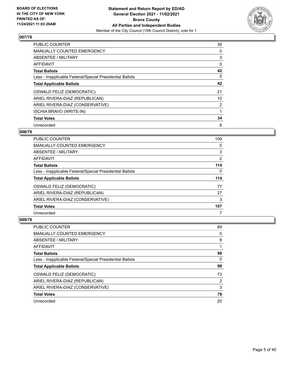

| <b>PUBLIC COUNTER</b>                                    | 39             |
|----------------------------------------------------------|----------------|
| <b>MANUALLY COUNTED EMERGENCY</b>                        | 0              |
| ABSENTEE / MILITARY                                      | 3              |
| AFFIDAVIT                                                | 0              |
| <b>Total Ballots</b>                                     | 42             |
| Less - Inapplicable Federal/Special Presidential Ballots | 0              |
| <b>Total Applicable Ballots</b>                          | 42             |
| OSWALD FELIZ (DEMOCRATIC)                                | 21             |
| ARIEL RIVERA-DIAZ (REPUBLICAN)                           | 10             |
| ARIEL RIVERA-DIAZ (CONSERVATIVE)                         | $\overline{2}$ |
| <b>ISCHIA BRAVO (WRITE-IN)</b>                           |                |
| <b>Total Votes</b>                                       | 34             |
| Unrecorded                                               | 8              |

### **008/78**

| PUBLIC COUNTER                                           | 109 |
|----------------------------------------------------------|-----|
| <b>MANUALLY COUNTED EMERGENCY</b>                        | 0   |
| ABSENTEE / MILITARY                                      | 3   |
| AFFIDAVIT                                                | 2   |
| <b>Total Ballots</b>                                     | 114 |
| Less - Inapplicable Federal/Special Presidential Ballots | 0   |
|                                                          |     |
| <b>Total Applicable Ballots</b>                          | 114 |
| OSWALD FELIZ (DEMOCRATIC)                                | 77  |
| ARIEL RIVERA-DIAZ (REPUBLICAN)                           | 27  |
| ARIEL RIVERA-DIAZ (CONSERVATIVE)                         | 3   |
| <b>Total Votes</b>                                       | 107 |

| PUBLIC COUNTER                                           | 89 |
|----------------------------------------------------------|----|
| <b>MANUALLY COUNTED EMERGENCY</b>                        | 0  |
| ABSENTEE / MILITARY                                      | 8  |
| AFFIDAVIT                                                |    |
| <b>Total Ballots</b>                                     | 98 |
| Less - Inapplicable Federal/Special Presidential Ballots | 0  |
| <b>Total Applicable Ballots</b>                          | 98 |
| OSWALD FELIZ (DEMOCRATIC)                                | 73 |
| ARIEL RIVERA-DIAZ (REPUBLICAN)                           | 2  |
|                                                          |    |
| ARIEL RIVERA-DIAZ (CONSERVATIVE)                         | 3  |
| <b>Total Votes</b>                                       | 78 |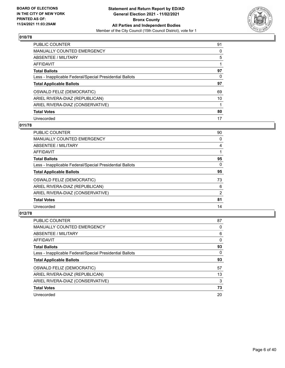

| PUBLIC COUNTER                                           | 91 |
|----------------------------------------------------------|----|
| <b>MANUALLY COUNTED EMERGENCY</b>                        | 0  |
| ABSENTEE / MILITARY                                      | 5  |
| AFFIDAVIT                                                |    |
| <b>Total Ballots</b>                                     | 97 |
| Less - Inapplicable Federal/Special Presidential Ballots | 0  |
| <b>Total Applicable Ballots</b>                          | 97 |
| OSWALD FELIZ (DEMOCRATIC)                                | 69 |
| ARIEL RIVERA-DIAZ (REPUBLICAN)                           | 10 |
| ARIEL RIVERA-DIAZ (CONSERVATIVE)                         |    |
| <b>Total Votes</b>                                       | 80 |
| Unrecorded                                               | 17 |

## **011/78**

| <b>PUBLIC COUNTER</b>                                    | 90       |
|----------------------------------------------------------|----------|
| <b>MANUALLY COUNTED EMERGENCY</b>                        | 0        |
| ABSENTEE / MILITARY                                      | 4        |
| <b>AFFIDAVIT</b>                                         |          |
| <b>Total Ballots</b>                                     | 95       |
| Less - Inapplicable Federal/Special Presidential Ballots | $\Omega$ |
| <b>Total Applicable Ballots</b>                          | 95       |
| OSWALD FELIZ (DEMOCRATIC)                                | 73       |
| ARIEL RIVERA-DIAZ (REPUBLICAN)                           | 6        |
| ARIEL RIVERA-DIAZ (CONSERVATIVE)                         | 2        |
| <b>Total Votes</b>                                       | 81       |
| Unrecorded                                               | 14       |

| <b>PUBLIC COUNTER</b>                                    | 87       |
|----------------------------------------------------------|----------|
| <b>MANUALLY COUNTED EMERGENCY</b>                        | 0        |
| ABSENTEE / MILITARY                                      | 6        |
| AFFIDAVIT                                                | $\Omega$ |
| <b>Total Ballots</b>                                     | 93       |
| Less - Inapplicable Federal/Special Presidential Ballots | 0        |
| <b>Total Applicable Ballots</b>                          | 93       |
| OSWALD FELIZ (DEMOCRATIC)                                | 57       |
| ARIEL RIVERA-DIAZ (REPUBLICAN)                           | 13       |
| ARIEL RIVERA-DIAZ (CONSERVATIVE)                         | 3        |
| <b>Total Votes</b>                                       | 73       |
| Unrecorded                                               | 20       |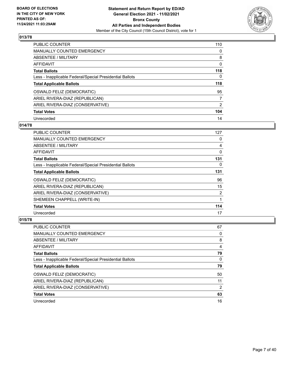

| <b>PUBLIC COUNTER</b>                                    | 110            |
|----------------------------------------------------------|----------------|
| <b>MANUALLY COUNTED EMERGENCY</b>                        | $\Omega$       |
| ABSENTEE / MILITARY                                      | 8              |
| AFFIDAVIT                                                | 0              |
| <b>Total Ballots</b>                                     | 118            |
| Less - Inapplicable Federal/Special Presidential Ballots | 0              |
| <b>Total Applicable Ballots</b>                          | 118            |
| OSWALD FELIZ (DEMOCRATIC)                                | 95             |
| ARIEL RIVERA-DIAZ (REPUBLICAN)                           | 7              |
| ARIEL RIVERA-DIAZ (CONSERVATIVE)                         | $\overline{2}$ |
| <b>Total Votes</b>                                       | 104            |
| Unrecorded                                               | 14             |

## **014/78**

| PUBLIC COUNTER                                           | 127 |
|----------------------------------------------------------|-----|
| <b>MANUALLY COUNTED EMERGENCY</b>                        | 0   |
| ABSENTEE / MILITARY                                      | 4   |
| AFFIDAVIT                                                | 0   |
| <b>Total Ballots</b>                                     | 131 |
| Less - Inapplicable Federal/Special Presidential Ballots | 0   |
| <b>Total Applicable Ballots</b>                          | 131 |
| OSWALD FELIZ (DEMOCRATIC)                                | 96  |
| ARIEL RIVERA-DIAZ (REPUBLICAN)                           | 15  |
| ARIEL RIVERA-DIAZ (CONSERVATIVE)                         | 2   |
| SHEMEEN CHAPPELL (WRITE-IN)                              |     |
| <b>Total Votes</b>                                       | 114 |
| Unrecorded                                               | 17  |

| PUBLIC COUNTER                                           | 67 |
|----------------------------------------------------------|----|
| <b>MANUALLY COUNTED EMERGENCY</b>                        | 0  |
| ABSENTEE / MILITARY                                      | 8  |
| AFFIDAVIT                                                | 4  |
| <b>Total Ballots</b>                                     | 79 |
| Less - Inapplicable Federal/Special Presidential Ballots | 0  |
| <b>Total Applicable Ballots</b>                          | 79 |
| OSWALD FELIZ (DEMOCRATIC)                                | 50 |
| ARIEL RIVERA-DIAZ (REPUBLICAN)                           | 11 |
| ARIEL RIVERA-DIAZ (CONSERVATIVE)                         | 2  |
| <b>Total Votes</b>                                       | 63 |
| Unrecorded                                               | 16 |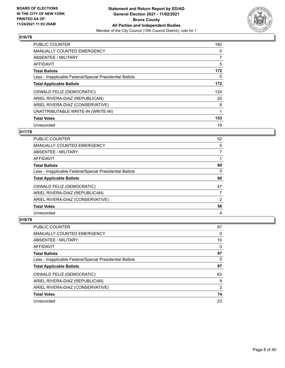

| <b>PUBLIC COUNTER</b>                                    | 160 |
|----------------------------------------------------------|-----|
| <b>MANUALLY COUNTED EMERGENCY</b>                        | 0   |
| ABSENTEE / MILITARY                                      | 7   |
| AFFIDAVIT                                                | 5   |
| <b>Total Ballots</b>                                     | 172 |
| Less - Inapplicable Federal/Special Presidential Ballots | 0   |
| <b>Total Applicable Ballots</b>                          | 172 |
| OSWALD FELIZ (DEMOCRATIC)                                | 124 |
| ARIEL RIVERA-DIAZ (REPUBLICAN)                           | 20  |
| ARIEL RIVERA-DIAZ (CONSERVATIVE)                         | 8   |
| UNATTRIBUTABLE WRITE-IN (WRITE-IN)                       | 1   |
| <b>Total Votes</b>                                       | 153 |
| Unrecorded                                               | 19  |

# **017/78**

| <b>PUBLIC COUNTER</b>                                    | 52            |
|----------------------------------------------------------|---------------|
| MANUALLY COUNTED EMERGENCY                               | 0             |
| ABSENTEE / MILITARY                                      |               |
| AFFIDAVIT                                                |               |
| <b>Total Ballots</b>                                     | 60            |
| Less - Inapplicable Federal/Special Presidential Ballots | 0             |
| <b>Total Applicable Ballots</b>                          | 60            |
| <b>OSWALD FELIZ (DEMOCRATIC)</b>                         | 47            |
| ARIEL RIVERA-DIAZ (REPUBLICAN)                           |               |
| ARIEL RIVERA-DIAZ (CONSERVATIVE)                         | $\mathcal{P}$ |
| <b>Total Votes</b>                                       | 56            |
| Unrecorded                                               | 4             |

| <b>PUBLIC COUNTER</b>                                    | 87            |
|----------------------------------------------------------|---------------|
| <b>MANUALLY COUNTED EMERGENCY</b>                        | 0             |
| ABSENTEE / MILITARY                                      | 10            |
| AFFIDAVIT                                                | 0             |
| <b>Total Ballots</b>                                     | 97            |
| Less - Inapplicable Federal/Special Presidential Ballots | 0             |
| <b>Total Applicable Ballots</b>                          | 97            |
| OSWALD FELIZ (DEMOCRATIC)                                | 63            |
| ARIEL RIVERA-DIAZ (REPUBLICAN)                           | 9             |
| ARIEL RIVERA-DIAZ (CONSERVATIVE)                         | $\mathcal{P}$ |
|                                                          |               |
| <b>Total Votes</b>                                       | 74            |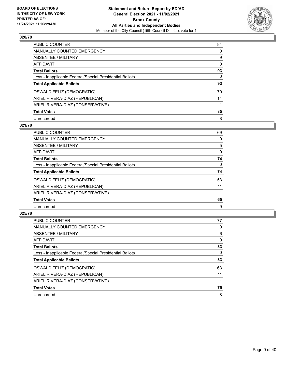

| PUBLIC COUNTER                                           | 84       |
|----------------------------------------------------------|----------|
| <b>MANUALLY COUNTED EMERGENCY</b>                        | $\Omega$ |
| ABSENTEE / MILITARY                                      | 9        |
| AFFIDAVIT                                                | $\Omega$ |
| <b>Total Ballots</b>                                     | 93       |
| Less - Inapplicable Federal/Special Presidential Ballots | 0        |
| <b>Total Applicable Ballots</b>                          | 93       |
| OSWALD FELIZ (DEMOCRATIC)                                | 70       |
| ARIEL RIVERA-DIAZ (REPUBLICAN)                           | 14       |
| ARIEL RIVERA-DIAZ (CONSERVATIVE)                         |          |
| <b>Total Votes</b>                                       | 85       |
| Unrecorded                                               | 8        |

## **021/78**

| <b>PUBLIC COUNTER</b>                                    | 69       |
|----------------------------------------------------------|----------|
| <b>MANUALLY COUNTED EMERGENCY</b>                        | 0        |
| ABSENTEE / MILITARY                                      | 5        |
| <b>AFFIDAVIT</b>                                         | 0        |
| <b>Total Ballots</b>                                     | 74       |
| Less - Inapplicable Federal/Special Presidential Ballots | $\Omega$ |
| <b>Total Applicable Ballots</b>                          | 74       |
| OSWALD FELIZ (DEMOCRATIC)                                | 53       |
| ARIEL RIVERA-DIAZ (REPUBLICAN)                           | 11       |
| ARIEL RIVERA-DIAZ (CONSERVATIVE)                         |          |
| <b>Total Votes</b>                                       | 65       |
| Unrecorded                                               | 9        |

| <b>PUBLIC COUNTER</b>                                    | 77       |
|----------------------------------------------------------|----------|
| <b>MANUALLY COUNTED EMERGENCY</b>                        | 0        |
| ABSENTEE / MILITARY                                      | 6        |
| AFFIDAVIT                                                | $\Omega$ |
| <b>Total Ballots</b>                                     | 83       |
| Less - Inapplicable Federal/Special Presidential Ballots | 0        |
| <b>Total Applicable Ballots</b>                          | 83       |
| OSWALD FELIZ (DEMOCRATIC)                                | 63       |
| ARIEL RIVERA-DIAZ (REPUBLICAN)                           | 11       |
| ARIEL RIVERA-DIAZ (CONSERVATIVE)                         |          |
| <b>Total Votes</b>                                       | 75       |
| Unrecorded                                               | 8        |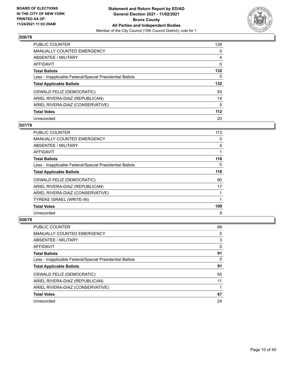

| PUBLIC COUNTER                                           | 128      |
|----------------------------------------------------------|----------|
| <b>MANUALLY COUNTED EMERGENCY</b>                        | $\Omega$ |
| ABSENTEE / MILITARY                                      | 4        |
| AFFIDAVIT                                                | 0        |
| <b>Total Ballots</b>                                     | 132      |
| Less - Inapplicable Federal/Special Presidential Ballots | 0        |
| <b>Total Applicable Ballots</b>                          | 132      |
| OSWALD FELIZ (DEMOCRATIC)                                | 93       |
| ARIEL RIVERA-DIAZ (REPUBLICAN)                           | 14       |
| ARIEL RIVERA-DIAZ (CONSERVATIVE)                         | 5        |
| <b>Total Votes</b>                                       | 112      |
| Unrecorded                                               | 20       |

#### **027/78**

| <b>PUBLIC COUNTER</b>                                    | 113 |
|----------------------------------------------------------|-----|
| <b>MANUALLY COUNTED EMERGENCY</b>                        | 0   |
| ABSENTEE / MILITARY                                      | 4   |
| AFFIDAVIT                                                | 1   |
| <b>Total Ballots</b>                                     | 118 |
| Less - Inapplicable Federal/Special Presidential Ballots | 0   |
| <b>Total Applicable Ballots</b>                          | 118 |
| OSWALD FELIZ (DEMOCRATIC)                                | 90  |
| ARIEL RIVERA-DIAZ (REPUBLICAN)                           | 17  |
| ARIEL RIVERA-DIAZ (CONSERVATIVE)                         |     |
| TYREKE ISRAEL (WRITE-IN)                                 |     |
| <b>Total Votes</b>                                       | 109 |
| Unrecorded                                               | 9   |

| PUBLIC COUNTER                                           | 88 |
|----------------------------------------------------------|----|
| <b>MANUALLY COUNTED EMERGENCY</b>                        | 0  |
| ABSENTEE / MILITARY                                      | 3  |
| AFFIDAVIT                                                | 0  |
| <b>Total Ballots</b>                                     | 91 |
| Less - Inapplicable Federal/Special Presidential Ballots | 0  |
| <b>Total Applicable Ballots</b>                          | 91 |
| OSWALD FELIZ (DEMOCRATIC)                                | 55 |
| ARIEL RIVERA-DIAZ (REPUBLICAN)                           | 11 |
| ARIEL RIVERA-DIAZ (CONSERVATIVE)                         |    |
| <b>Total Votes</b>                                       | 67 |
| Unrecorded                                               | 24 |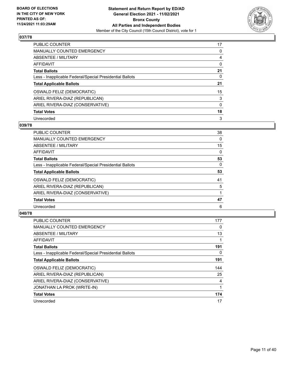

| PUBLIC COUNTER                                           | 17       |
|----------------------------------------------------------|----------|
| <b>MANUALLY COUNTED EMERGENCY</b>                        | 0        |
| ABSENTEE / MILITARY                                      | 4        |
| AFFIDAVIT                                                | $\Omega$ |
| <b>Total Ballots</b>                                     | 21       |
| Less - Inapplicable Federal/Special Presidential Ballots | 0        |
| <b>Total Applicable Ballots</b>                          | 21       |
| OSWALD FELIZ (DEMOCRATIC)                                | 15       |
| ARIEL RIVERA-DIAZ (REPUBLICAN)                           | 3        |
| ARIEL RIVERA-DIAZ (CONSERVATIVE)                         | $\Omega$ |
| <b>Total Votes</b>                                       | 18       |
| Unrecorded                                               | 3        |

## **039/78**

| PUBLIC COUNTER                                           | 38       |
|----------------------------------------------------------|----------|
| <b>MANUALLY COUNTED EMERGENCY</b>                        | 0        |
| ABSENTEE / MILITARY                                      | 15       |
| <b>AFFIDAVIT</b>                                         | 0        |
| <b>Total Ballots</b>                                     | 53       |
| Less - Inapplicable Federal/Special Presidential Ballots | $\Omega$ |
| <b>Total Applicable Ballots</b>                          | 53       |
| OSWALD FELIZ (DEMOCRATIC)                                | 41       |
| ARIEL RIVERA-DIAZ (REPUBLICAN)                           | 5        |
| ARIEL RIVERA-DIAZ (CONSERVATIVE)                         |          |
| <b>Total Votes</b>                                       | 47       |
| Unrecorded                                               | 6        |

| <b>PUBLIC COUNTER</b>                                    | 177      |
|----------------------------------------------------------|----------|
| <b>MANUALLY COUNTED EMERGENCY</b>                        | 0        |
| ABSENTEE / MILITARY                                      | 13       |
| <b>AFFIDAVIT</b>                                         |          |
| <b>Total Ballots</b>                                     | 191      |
| Less - Inapplicable Federal/Special Presidential Ballots | $\Omega$ |
| <b>Total Applicable Ballots</b>                          | 191      |
| OSWALD FELIZ (DEMOCRATIC)                                | 144      |
| ARIEL RIVERA-DIAZ (REPUBLICAN)                           | 25       |
| ARIEL RIVERA-DIAZ (CONSERVATIVE)                         | 4        |
| JONATHAN LA PROK (WRITE-IN)                              |          |
| <b>Total Votes</b>                                       | 174      |
| Unrecorded                                               | 17       |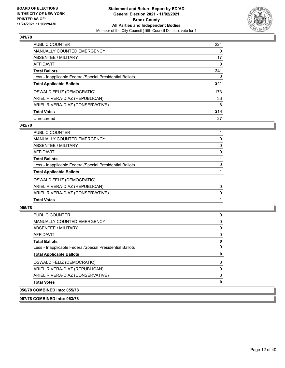

| <b>PUBLIC COUNTER</b>                                    | 224      |
|----------------------------------------------------------|----------|
| <b>MANUALLY COUNTED EMERGENCY</b>                        | $\Omega$ |
| ABSENTEE / MILITARY                                      | 17       |
| <b>AFFIDAVIT</b>                                         | $\Omega$ |
| <b>Total Ballots</b>                                     | 241      |
| Less - Inapplicable Federal/Special Presidential Ballots | 0        |
| <b>Total Applicable Ballots</b>                          | 241      |
| OSWALD FELIZ (DEMOCRATIC)                                | 173      |
| ARIEL RIVERA-DIAZ (REPUBLICAN)                           | 33       |
| ARIEL RIVERA-DIAZ (CONSERVATIVE)                         | 8        |
| <b>Total Votes</b>                                       | 214      |
| Unrecorded                                               | 27       |

## **042/78**

| <b>Total Votes</b>                                       |          |
|----------------------------------------------------------|----------|
| ARIEL RIVERA-DIAZ (CONSERVATIVE)                         | $\Omega$ |
| ARIEL RIVERA-DIAZ (REPUBLICAN)                           | 0        |
| OSWALD FELIZ (DEMOCRATIC)                                |          |
| <b>Total Applicable Ballots</b>                          |          |
| Less - Inapplicable Federal/Special Presidential Ballots | 0        |
| <b>Total Ballots</b>                                     |          |
| <b>AFFIDAVIT</b>                                         | $\Omega$ |
| ABSENTEE / MILITARY                                      | 0        |
| <b>MANUALLY COUNTED EMERGENCY</b>                        | 0        |
| PUBLIC COUNTER                                           |          |

#### **055/78**

| <b>PUBLIC COUNTER</b>                                    | 0 |
|----------------------------------------------------------|---|
| <b>MANUALLY COUNTED EMERGENCY</b>                        | 0 |
| ABSENTEE / MILITARY                                      | 0 |
| AFFIDAVIT                                                | 0 |
| <b>Total Ballots</b>                                     | 0 |
| Less - Inapplicable Federal/Special Presidential Ballots | 0 |
| <b>Total Applicable Ballots</b>                          | 0 |
| <b>OSWALD FELIZ (DEMOCRATIC)</b>                         | 0 |
| ARIEL RIVERA-DIAZ (REPUBLICAN)                           | 0 |
| ARIEL RIVERA-DIAZ (CONSERVATIVE)                         | 0 |
| <b>Total Votes</b>                                       | 0 |
| 056/78 COMBINED into: 055/78                             |   |

**057/78 COMBINED into: 063/78**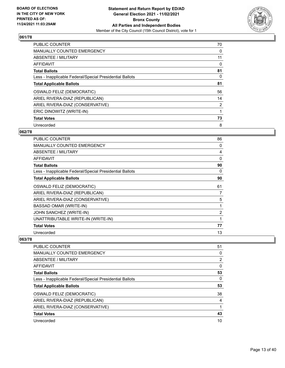

| <b>PUBLIC COUNTER</b>                                    | 70             |
|----------------------------------------------------------|----------------|
| <b>MANUALLY COUNTED EMERGENCY</b>                        | 0              |
| ABSENTEE / MILITARY                                      | 11             |
| <b>AFFIDAVIT</b>                                         | 0              |
| <b>Total Ballots</b>                                     | 81             |
| Less - Inapplicable Federal/Special Presidential Ballots | 0              |
| <b>Total Applicable Ballots</b>                          | 81             |
| OSWALD FELIZ (DEMOCRATIC)                                | 56             |
| ARIEL RIVERA-DIAZ (REPUBLICAN)                           | 14             |
| ARIEL RIVERA-DIAZ (CONSERVATIVE)                         | $\overline{2}$ |
| ERIC DINOWITZ (WRITE-IN)                                 |                |
| <b>Total Votes</b>                                       | 73             |
| Unrecorded                                               | 8              |

## **062/78**

| <b>PUBLIC COUNTER</b>                                    | 86             |
|----------------------------------------------------------|----------------|
| <b>MANUALLY COUNTED EMERGENCY</b>                        | 0              |
| ABSENTEE / MILITARY                                      | 4              |
| AFFIDAVIT                                                | 0              |
| <b>Total Ballots</b>                                     | 90             |
| Less - Inapplicable Federal/Special Presidential Ballots | 0              |
| <b>Total Applicable Ballots</b>                          | 90             |
| OSWALD FELIZ (DEMOCRATIC)                                | 61             |
| ARIEL RIVERA-DIAZ (REPUBLICAN)                           | 7              |
| ARIEL RIVERA-DIAZ (CONSERVATIVE)                         | 5              |
| <b>BASSAD OMAR (WRITE-IN)</b>                            |                |
| JOHN SANCHEZ (WRITE-IN)                                  | $\overline{2}$ |
| UNATTRIBUTABLE WRITE-IN (WRITE-IN)                       |                |
| <b>Total Votes</b>                                       | 77             |
| Unrecorded                                               | 13             |

| <b>PUBLIC COUNTER</b>                                    | 51 |
|----------------------------------------------------------|----|
| <b>MANUALLY COUNTED EMERGENCY</b>                        | 0  |
| ABSENTEE / MILITARY                                      | 2  |
| AFFIDAVIT                                                | 0  |
| <b>Total Ballots</b>                                     | 53 |
| Less - Inapplicable Federal/Special Presidential Ballots | 0  |
| <b>Total Applicable Ballots</b>                          | 53 |
| OSWALD FELIZ (DEMOCRATIC)                                | 38 |
| ARIEL RIVERA-DIAZ (REPUBLICAN)                           | 4  |
| ARIEL RIVERA-DIAZ (CONSERVATIVE)                         |    |
| <b>Total Votes</b>                                       | 43 |
| Unrecorded                                               | 10 |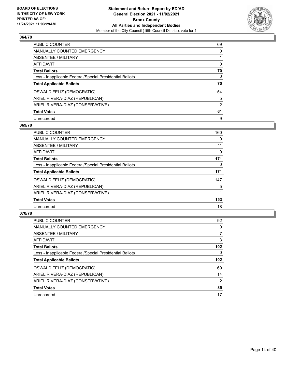

| <b>PUBLIC COUNTER</b>                                    | 69             |
|----------------------------------------------------------|----------------|
| <b>MANUALLY COUNTED EMERGENCY</b>                        | $\Omega$       |
| ABSENTEE / MILITARY                                      |                |
| AFFIDAVIT                                                | $\Omega$       |
| <b>Total Ballots</b>                                     | 70             |
| Less - Inapplicable Federal/Special Presidential Ballots | 0              |
| <b>Total Applicable Ballots</b>                          | 70             |
| OSWALD FELIZ (DEMOCRATIC)                                | 54             |
| ARIEL RIVERA-DIAZ (REPUBLICAN)                           | 5              |
| ARIEL RIVERA-DIAZ (CONSERVATIVE)                         | $\overline{2}$ |
| <b>Total Votes</b>                                       | 61             |
| Unrecorded                                               | 9              |

## **069/78**

| <b>PUBLIC COUNTER</b>                                    | 160      |
|----------------------------------------------------------|----------|
| <b>MANUALLY COUNTED EMERGENCY</b>                        | 0        |
| <b>ABSENTEE / MILITARY</b>                               | 11       |
| <b>AFFIDAVIT</b>                                         | $\Omega$ |
| <b>Total Ballots</b>                                     | 171      |
| Less - Inapplicable Federal/Special Presidential Ballots | $\Omega$ |
| <b>Total Applicable Ballots</b>                          | 171      |
| OSWALD FELIZ (DEMOCRATIC)                                | 147      |
| ARIEL RIVERA-DIAZ (REPUBLICAN)                           | 5        |
| ARIEL RIVERA-DIAZ (CONSERVATIVE)                         |          |
| <b>Total Votes</b>                                       | 153      |
| Unrecorded                                               | 18       |

| PUBLIC COUNTER                                           | 92               |
|----------------------------------------------------------|------------------|
| <b>MANUALLY COUNTED EMERGENCY</b>                        | 0                |
| ABSENTEE / MILITARY                                      | $\overline{7}$   |
| <b>AFFIDAVIT</b>                                         | 3                |
| <b>Total Ballots</b>                                     | 102              |
| Less - Inapplicable Federal/Special Presidential Ballots | $\Omega$         |
| <b>Total Applicable Ballots</b>                          | 102 <sub>2</sub> |
| OSWALD FELIZ (DEMOCRATIC)                                | 69               |
| ARIEL RIVERA-DIAZ (REPUBLICAN)                           | 14               |
| ARIEL RIVERA-DIAZ (CONSERVATIVE)                         | 2                |
| <b>Total Votes</b>                                       | 85               |
| Unrecorded                                               | 17               |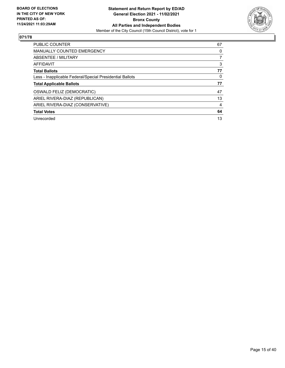

| <b>PUBLIC COUNTER</b>                                    | 67 |
|----------------------------------------------------------|----|
| <b>MANUALLY COUNTED EMERGENCY</b>                        | 0  |
| ABSENTEE / MILITARY                                      |    |
| <b>AFFIDAVIT</b>                                         | 3  |
| <b>Total Ballots</b>                                     | 77 |
| Less - Inapplicable Federal/Special Presidential Ballots | 0  |
| <b>Total Applicable Ballots</b>                          | 77 |
| OSWALD FELIZ (DEMOCRATIC)                                | 47 |
| ARIEL RIVERA-DIAZ (REPUBLICAN)                           | 13 |
| ARIEL RIVERA-DIAZ (CONSERVATIVE)                         | 4  |
| <b>Total Votes</b>                                       | 64 |
| Unrecorded                                               | 13 |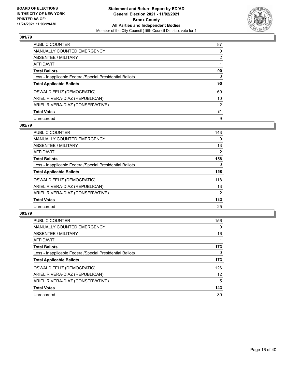

| <b>PUBLIC COUNTER</b>                                    | 87             |
|----------------------------------------------------------|----------------|
| <b>MANUALLY COUNTED EMERGENCY</b>                        | 0              |
| ABSENTEE / MILITARY                                      | $\overline{2}$ |
| AFFIDAVIT                                                |                |
| <b>Total Ballots</b>                                     | 90             |
| Less - Inapplicable Federal/Special Presidential Ballots | $\Omega$       |
| <b>Total Applicable Ballots</b>                          | 90             |
| OSWALD FELIZ (DEMOCRATIC)                                | 69             |
| ARIEL RIVERA-DIAZ (REPUBLICAN)                           | 10             |
| ARIEL RIVERA-DIAZ (CONSERVATIVE)                         | 2              |
| <b>Total Votes</b>                                       | 81             |
| Unrecorded                                               | 9              |

## **002/79**

| <b>PUBLIC COUNTER</b>                                    | 143            |
|----------------------------------------------------------|----------------|
| <b>MANUALLY COUNTED EMERGENCY</b>                        | $\Omega$       |
| ABSENTEE / MILITARY                                      | 13             |
| <b>AFFIDAVIT</b>                                         | $\overline{2}$ |
| <b>Total Ballots</b>                                     | 158            |
| Less - Inapplicable Federal/Special Presidential Ballots | $\Omega$       |
| <b>Total Applicable Ballots</b>                          | 158            |
| <b>OSWALD FELIZ (DEMOCRATIC)</b>                         | 118            |
| ARIEL RIVERA-DIAZ (REPUBLICAN)                           | 13             |
| ARIEL RIVERA-DIAZ (CONSERVATIVE)                         | $\overline{2}$ |
| <b>Total Votes</b>                                       | 133            |
| Unrecorded                                               | 25             |

| <b>PUBLIC COUNTER</b>                                    | 156      |
|----------------------------------------------------------|----------|
| <b>MANUALLY COUNTED EMERGENCY</b>                        | $\Omega$ |
| ABSENTEE / MILITARY                                      | 16       |
| <b>AFFIDAVIT</b>                                         |          |
| <b>Total Ballots</b>                                     | 173      |
| Less - Inapplicable Federal/Special Presidential Ballots | 0        |
| <b>Total Applicable Ballots</b>                          | 173      |
| OSWALD FELIZ (DEMOCRATIC)                                | 126      |
| ARIEL RIVERA-DIAZ (REPUBLICAN)                           | 12       |
| ARIEL RIVERA-DIAZ (CONSERVATIVE)                         | 5        |
| <b>Total Votes</b>                                       | 143      |
| Unrecorded                                               | 30       |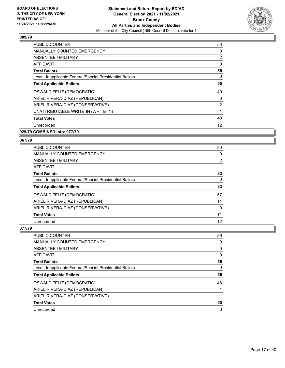

| <b>PUBLIC COUNTER</b>                                    | 53             |
|----------------------------------------------------------|----------------|
| MANUALLY COUNTED EMERGENCY                               | 0              |
| ABSENTEE / MILITARY                                      | $\overline{2}$ |
| <b>AFFIDAVIT</b>                                         | 0              |
| <b>Total Ballots</b>                                     | 55             |
| Less - Inapplicable Federal/Special Presidential Ballots | 0              |
| <b>Total Applicable Ballots</b>                          | 55             |
| OSWALD FELIZ (DEMOCRATIC)                                | 40             |
| ARIEL RIVERA-DIAZ (REPUBLICAN)                           | 0              |
| ARIEL RIVERA-DIAZ (CONSERVATIVE)                         | 2              |
| UNATTRIBUTABLE WRITE-IN (WRITE-IN)                       |                |
| <b>Total Votes</b>                                       | 43             |
| Unrecorded                                               | 12             |
| 029/79 COMBINED into: 077/79                             |                |

# **067/79**

| <b>PUBLIC COUNTER</b>                                    | 80       |
|----------------------------------------------------------|----------|
| <b>MANUALLY COUNTED EMERGENCY</b>                        | 0        |
| ABSENTEE / MILITARY                                      | 2        |
| AFFIDAVIT                                                |          |
| <b>Total Ballots</b>                                     | 83       |
| Less - Inapplicable Federal/Special Presidential Ballots | 0        |
| <b>Total Applicable Ballots</b>                          | 83       |
| OSWALD FELIZ (DEMOCRATIC)                                | 57       |
| ARIEL RIVERA-DIAZ (REPUBLICAN)                           | 14       |
| ARIEL RIVERA-DIAZ (CONSERVATIVE)                         | $\Omega$ |
| <b>Total Votes</b>                                       | 71       |
| Unrecorded                                               | 12       |

| <b>PUBLIC COUNTER</b>                                    | 56 |
|----------------------------------------------------------|----|
| <b>MANUALLY COUNTED EMERGENCY</b>                        | 0  |
| ABSENTEE / MILITARY                                      | 0  |
| AFFIDAVIT                                                | 0  |
| <b>Total Ballots</b>                                     | 56 |
| Less - Inapplicable Federal/Special Presidential Ballots | 0  |
| <b>Total Applicable Ballots</b>                          | 56 |
| OSWALD FELIZ (DEMOCRATIC)                                | 48 |
| ARIEL RIVERA-DIAZ (REPUBLICAN)                           |    |
| ARIEL RIVERA-DIAZ (CONSERVATIVE)                         |    |
| <b>Total Votes</b>                                       | 50 |
| Unrecorded                                               | 6  |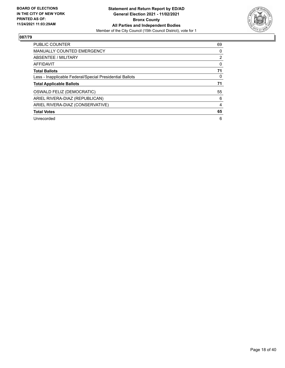

| <b>PUBLIC COUNTER</b>                                    | 69             |
|----------------------------------------------------------|----------------|
| <b>MANUALLY COUNTED EMERGENCY</b>                        | 0              |
| ABSENTEE / MILITARY                                      | $\overline{2}$ |
| <b>AFFIDAVIT</b>                                         | 0              |
| <b>Total Ballots</b>                                     | 71             |
| Less - Inapplicable Federal/Special Presidential Ballots | 0              |
| <b>Total Applicable Ballots</b>                          | 71             |
| OSWALD FELIZ (DEMOCRATIC)                                | 55             |
| ARIEL RIVERA-DIAZ (REPUBLICAN)                           | 6              |
| ARIEL RIVERA-DIAZ (CONSERVATIVE)                         | 4              |
| <b>Total Votes</b>                                       | 65             |
| Unrecorded                                               | 6              |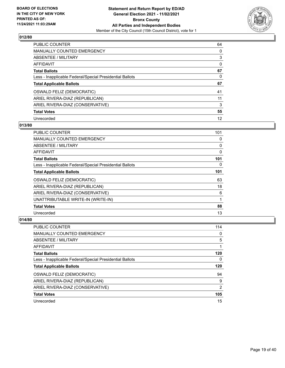

| <b>PUBLIC COUNTER</b>                                    | 64       |
|----------------------------------------------------------|----------|
| <b>MANUALLY COUNTED EMERGENCY</b>                        | $\Omega$ |
| ABSENTEE / MILITARY                                      | 3        |
| AFFIDAVIT                                                | 0        |
| <b>Total Ballots</b>                                     | 67       |
| Less - Inapplicable Federal/Special Presidential Ballots | 0        |
| <b>Total Applicable Ballots</b>                          | 67       |
| OSWALD FELIZ (DEMOCRATIC)                                | 41       |
| ARIEL RIVERA-DIAZ (REPUBLICAN)                           | 11       |
| ARIEL RIVERA-DIAZ (CONSERVATIVE)                         | 3        |
| <b>Total Votes</b>                                       | 55       |
|                                                          |          |

#### **013/80**

| PUBLIC COUNTER                                           | 101 |
|----------------------------------------------------------|-----|
| <b>MANUALLY COUNTED EMERGENCY</b>                        | 0   |
| ABSENTEE / MILITARY                                      | 0   |
| AFFIDAVIT                                                | 0   |
| <b>Total Ballots</b>                                     | 101 |
| Less - Inapplicable Federal/Special Presidential Ballots | 0   |
| <b>Total Applicable Ballots</b>                          | 101 |
| OSWALD FELIZ (DEMOCRATIC)                                | 63  |
| ARIEL RIVERA-DIAZ (REPUBLICAN)                           | 18  |
| ARIEL RIVERA-DIAZ (CONSERVATIVE)                         | 6   |
| UNATTRIBUTABLE WRITE-IN (WRITE-IN)                       | 1   |
| <b>Total Votes</b>                                       | 88  |
| Unrecorded                                               | 13  |

| <b>PUBLIC COUNTER</b>                                    | 114            |
|----------------------------------------------------------|----------------|
| <b>MANUALLY COUNTED EMERGENCY</b>                        | 0              |
| ABSENTEE / MILITARY                                      | 5              |
| AFFIDAVIT                                                |                |
| <b>Total Ballots</b>                                     | 120            |
| Less - Inapplicable Federal/Special Presidential Ballots | 0              |
|                                                          |                |
| <b>Total Applicable Ballots</b>                          | 120            |
| OSWALD FELIZ (DEMOCRATIC)                                | 94             |
| ARIEL RIVERA-DIAZ (REPUBLICAN)                           | 9              |
| ARIEL RIVERA-DIAZ (CONSERVATIVE)                         | $\overline{2}$ |
| <b>Total Votes</b>                                       | 105            |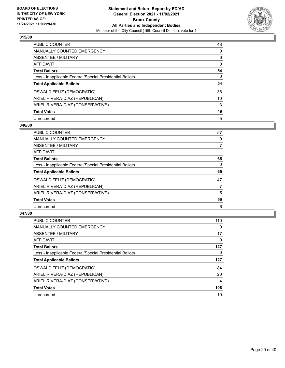

| <b>PUBLIC COUNTER</b>                                    | 48       |
|----------------------------------------------------------|----------|
| <b>MANUALLY COUNTED EMERGENCY</b>                        | $\Omega$ |
| ABSENTEE / MILITARY                                      | 6        |
| AFFIDAVIT                                                | $\Omega$ |
| <b>Total Ballots</b>                                     | 54       |
| Less - Inapplicable Federal/Special Presidential Ballots | 0        |
| <b>Total Applicable Ballots</b>                          | 54       |
| OSWALD FELIZ (DEMOCRATIC)                                | 36       |
| ARIEL RIVERA-DIAZ (REPUBLICAN)                           | 10       |
| ARIEL RIVERA-DIAZ (CONSERVATIVE)                         | 3        |
| <b>Total Votes</b>                                       | 49       |
| Unrecorded                                               | 5        |

#### **046/80**

| <b>PUBLIC COUNTER</b>                                    | 57       |
|----------------------------------------------------------|----------|
| <b>MANUALLY COUNTED EMERGENCY</b>                        | 0        |
| ABSENTEE / MILITARY                                      | 7        |
| <b>AFFIDAVIT</b>                                         |          |
| <b>Total Ballots</b>                                     | 65       |
| Less - Inapplicable Federal/Special Presidential Ballots | $\Omega$ |
| <b>Total Applicable Ballots</b>                          | 65       |
| OSWALD FELIZ (DEMOCRATIC)                                | 47       |
| ARIEL RIVERA-DIAZ (REPUBLICAN)                           | 7        |
| ARIEL RIVERA-DIAZ (CONSERVATIVE)                         | 5        |
| <b>Total Votes</b>                                       | 59       |
| Unrecorded                                               | 6        |

| <b>PUBLIC COUNTER</b>                                    | 110            |
|----------------------------------------------------------|----------------|
| <b>MANUALLY COUNTED EMERGENCY</b>                        | $\Omega$       |
| ABSENTEE / MILITARY                                      | 17             |
| AFFIDAVIT                                                | 0              |
| <b>Total Ballots</b>                                     | 127            |
| Less - Inapplicable Federal/Special Presidential Ballots | 0              |
| <b>Total Applicable Ballots</b>                          | 127            |
|                                                          |                |
| OSWALD FELIZ (DEMOCRATIC)                                | 84             |
| ARIEL RIVERA-DIAZ (REPUBLICAN)                           | 20             |
| ARIEL RIVERA-DIAZ (CONSERVATIVE)                         | $\overline{4}$ |
| <b>Total Votes</b>                                       | 108            |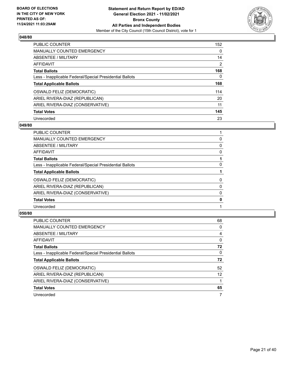

| PUBLIC COUNTER                                           | 152            |
|----------------------------------------------------------|----------------|
| <b>MANUALLY COUNTED EMERGENCY</b>                        | $\Omega$       |
| ABSENTEE / MILITARY                                      | 14             |
| <b>AFFIDAVIT</b>                                         | $\overline{2}$ |
| <b>Total Ballots</b>                                     | 168            |
| Less - Inapplicable Federal/Special Presidential Ballots | 0              |
| <b>Total Applicable Ballots</b>                          | 168            |
| OSWALD FELIZ (DEMOCRATIC)                                | 114            |
| ARIEL RIVERA-DIAZ (REPUBLICAN)                           | 20             |
| ARIEL RIVERA-DIAZ (CONSERVATIVE)                         | 11             |
| <b>Total Votes</b>                                       | 145            |
| Unrecorded                                               | 23             |

#### **049/80**

| PUBLIC COUNTER                                           |   |
|----------------------------------------------------------|---|
| <b>MANUALLY COUNTED EMERGENCY</b>                        | 0 |
| ABSENTEE / MILITARY                                      | 0 |
| AFFIDAVIT                                                | 0 |
| <b>Total Ballots</b>                                     |   |
| Less - Inapplicable Federal/Special Presidential Ballots | 0 |
| <b>Total Applicable Ballots</b>                          |   |
| OSWALD FELIZ (DEMOCRATIC)                                | 0 |
| ARIEL RIVERA-DIAZ (REPUBLICAN)                           | 0 |
| ARIEL RIVERA-DIAZ (CONSERVATIVE)                         | 0 |
| <b>Total Votes</b>                                       | 0 |
| Unrecorded                                               |   |
|                                                          |   |

| <b>PUBLIC COUNTER</b>                                    | 68                |
|----------------------------------------------------------|-------------------|
| <b>MANUALLY COUNTED EMERGENCY</b>                        | 0                 |
| ABSENTEE / MILITARY                                      | 4                 |
| AFFIDAVIT                                                | $\Omega$          |
| <b>Total Ballots</b>                                     | 72                |
| Less - Inapplicable Federal/Special Presidential Ballots | $\Omega$          |
| <b>Total Applicable Ballots</b>                          | 72                |
| OSWALD FELIZ (DEMOCRATIC)                                | 52                |
| ARIEL RIVERA-DIAZ (REPUBLICAN)                           | $12 \overline{ }$ |
| ARIEL RIVERA-DIAZ (CONSERVATIVE)                         |                   |
| <b>Total Votes</b>                                       | 65                |
| Unrecorded                                               |                   |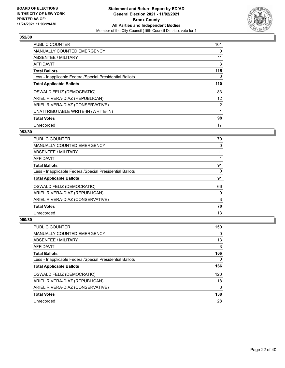

| <b>PUBLIC COUNTER</b>                                    | 101            |
|----------------------------------------------------------|----------------|
| <b>MANUALLY COUNTED EMERGENCY</b>                        | 0              |
| ABSENTEE / MILITARY                                      | 11             |
| <b>AFFIDAVIT</b>                                         | 3              |
| <b>Total Ballots</b>                                     | 115            |
| Less - Inapplicable Federal/Special Presidential Ballots | 0              |
| <b>Total Applicable Ballots</b>                          | 115            |
| OSWALD FELIZ (DEMOCRATIC)                                | 83             |
| ARIEL RIVERA-DIAZ (REPUBLICAN)                           | 12             |
| ARIEL RIVERA-DIAZ (CONSERVATIVE)                         | $\overline{2}$ |
| UNATTRIBUTABLE WRITE-IN (WRITE-IN)                       |                |
| <b>Total Votes</b>                                       | 98             |
| Unrecorded                                               | 17             |

# **053/80**

| <b>PUBLIC COUNTER</b>                                    | 79 |
|----------------------------------------------------------|----|
| <b>MANUALLY COUNTED EMERGENCY</b>                        | 0  |
| ABSENTEE / MILITARY                                      | 11 |
| AFFIDAVIT                                                |    |
| <b>Total Ballots</b>                                     | 91 |
| Less - Inapplicable Federal/Special Presidential Ballots | 0  |
| <b>Total Applicable Ballots</b>                          | 91 |
| OSWALD FELIZ (DEMOCRATIC)                                | 66 |
| ARIEL RIVERA-DIAZ (REPUBLICAN)                           | 9  |
| ARIEL RIVERA-DIAZ (CONSERVATIVE)                         | 3  |
| <b>Total Votes</b>                                       | 78 |
| Unrecorded                                               | 13 |

| <b>PUBLIC COUNTER</b>                                    | 150 |
|----------------------------------------------------------|-----|
| <b>MANUALLY COUNTED EMERGENCY</b>                        | 0   |
| ABSENTEE / MILITARY                                      | 13  |
| AFFIDAVIT                                                | 3   |
| <b>Total Ballots</b>                                     | 166 |
| Less - Inapplicable Federal/Special Presidential Ballots | 0   |
| <b>Total Applicable Ballots</b>                          | 166 |
| OSWALD FELIZ (DEMOCRATIC)                                | 120 |
| ARIEL RIVERA-DIAZ (REPUBLICAN)                           | 18  |
| ARIEL RIVERA-DIAZ (CONSERVATIVE)                         | 0   |
| <b>Total Votes</b>                                       | 138 |
| Unrecorded                                               | 28  |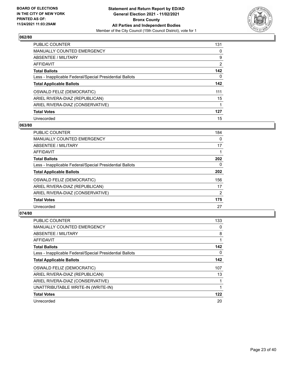

| <b>PUBLIC COUNTER</b>                                    | 131            |
|----------------------------------------------------------|----------------|
| <b>MANUALLY COUNTED EMERGENCY</b>                        | $\Omega$       |
| ABSENTEE / MILITARY                                      | 9              |
| AFFIDAVIT                                                | $\overline{2}$ |
| <b>Total Ballots</b>                                     | 142            |
| Less - Inapplicable Federal/Special Presidential Ballots | 0              |
| <b>Total Applicable Ballots</b>                          | 142            |
| OSWALD FELIZ (DEMOCRATIC)                                | 111            |
| ARIEL RIVERA-DIAZ (REPUBLICAN)                           | 15             |
| ARIEL RIVERA-DIAZ (CONSERVATIVE)                         |                |
| <b>Total Votes</b>                                       | 127            |
| Unrecorded                                               | 15             |

## **063/80**

| <b>PUBLIC COUNTER</b>                                    | 184            |
|----------------------------------------------------------|----------------|
| <b>MANUALLY COUNTED EMERGENCY</b>                        | 0              |
| ABSENTEE / MILITARY                                      | 17             |
| <b>AFFIDAVIT</b>                                         |                |
| <b>Total Ballots</b>                                     | 202            |
| Less - Inapplicable Federal/Special Presidential Ballots | $\Omega$       |
| <b>Total Applicable Ballots</b>                          | 202            |
| OSWALD FELIZ (DEMOCRATIC)                                | 156            |
| ARIEL RIVERA-DIAZ (REPUBLICAN)                           | 17             |
| ARIEL RIVERA-DIAZ (CONSERVATIVE)                         | $\overline{2}$ |
| <b>Total Votes</b>                                       | 175            |
| Unrecorded                                               | 27             |

| PUBLIC COUNTER                                           | 133 |
|----------------------------------------------------------|-----|
| <b>MANUALLY COUNTED EMERGENCY</b>                        | 0   |
| ABSENTEE / MILITARY                                      | 8   |
| AFFIDAVIT                                                |     |
| <b>Total Ballots</b>                                     | 142 |
| Less - Inapplicable Federal/Special Presidential Ballots | 0   |
| <b>Total Applicable Ballots</b>                          | 142 |
| OSWALD FELIZ (DEMOCRATIC)                                | 107 |
| ARIEL RIVERA-DIAZ (REPUBLICAN)                           | 13  |
| ARIEL RIVERA-DIAZ (CONSERVATIVE)                         |     |
| UNATTRIBUTABLE WRITE-IN (WRITE-IN)                       |     |
| <b>Total Votes</b>                                       | 122 |
| Unrecorded                                               | 20  |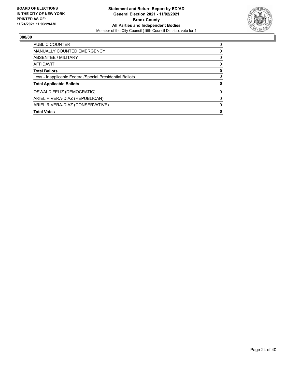

| <b>PUBLIC COUNTER</b>                                    | 0 |
|----------------------------------------------------------|---|
| <b>MANUALLY COUNTED EMERGENCY</b>                        | 0 |
| ABSENTEE / MILITARY                                      | 0 |
| <b>AFFIDAVIT</b>                                         | 0 |
| <b>Total Ballots</b>                                     | 0 |
| Less - Inapplicable Federal/Special Presidential Ballots | 0 |
| <b>Total Applicable Ballots</b>                          | 0 |
| OSWALD FELIZ (DEMOCRATIC)                                | 0 |
| ARIEL RIVERA-DIAZ (REPUBLICAN)                           | 0 |
| ARIEL RIVERA-DIAZ (CONSERVATIVE)                         | 0 |
| <b>Total Votes</b>                                       | 0 |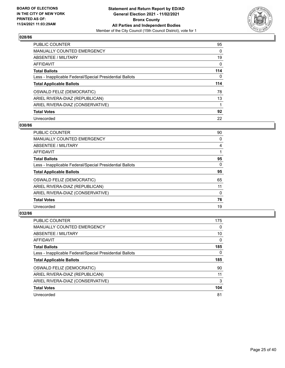

| <b>PUBLIC COUNTER</b>                                    | 95  |
|----------------------------------------------------------|-----|
| <b>MANUALLY COUNTED EMERGENCY</b>                        | 0   |
| ABSENTEE / MILITARY                                      | 19  |
| AFFIDAVIT                                                | 0   |
| <b>Total Ballots</b>                                     | 114 |
| Less - Inapplicable Federal/Special Presidential Ballots | 0   |
| <b>Total Applicable Ballots</b>                          | 114 |
| OSWALD FELIZ (DEMOCRATIC)                                | 78  |
| ARIEL RIVERA-DIAZ (REPUBLICAN)                           | 13  |
| ARIEL RIVERA-DIAZ (CONSERVATIVE)                         |     |
|                                                          |     |
| <b>Total Votes</b>                                       | 92  |

#### **030/86**

| <b>PUBLIC COUNTER</b>                                    | 90       |
|----------------------------------------------------------|----------|
| <b>MANUALLY COUNTED EMERGENCY</b>                        | 0        |
| ABSENTEE / MILITARY                                      | 4        |
| <b>AFFIDAVIT</b>                                         |          |
| <b>Total Ballots</b>                                     | 95       |
| Less - Inapplicable Federal/Special Presidential Ballots | $\Omega$ |
| <b>Total Applicable Ballots</b>                          | 95       |
| OSWALD FELIZ (DEMOCRATIC)                                | 65       |
| ARIEL RIVERA-DIAZ (REPUBLICAN)                           | 11       |
| ARIEL RIVERA-DIAZ (CONSERVATIVE)                         | 0        |
| <b>Total Votes</b>                                       | 76       |
| Unrecorded                                               | 19       |

| <b>PUBLIC COUNTER</b>                                    | 175      |
|----------------------------------------------------------|----------|
| <b>MANUALLY COUNTED EMERGENCY</b>                        | $\Omega$ |
| ABSENTEE / MILITARY                                      | 10       |
| <b>AFFIDAVIT</b>                                         | $\Omega$ |
| <b>Total Ballots</b>                                     | 185      |
| Less - Inapplicable Federal/Special Presidential Ballots | 0        |
| <b>Total Applicable Ballots</b>                          | 185      |
| OSWALD FELIZ (DEMOCRATIC)                                | 90       |
| ARIEL RIVERA-DIAZ (REPUBLICAN)                           | 11       |
| ARIEL RIVERA-DIAZ (CONSERVATIVE)                         | 3        |
| <b>Total Votes</b>                                       | 104      |
| Unrecorded                                               | 81       |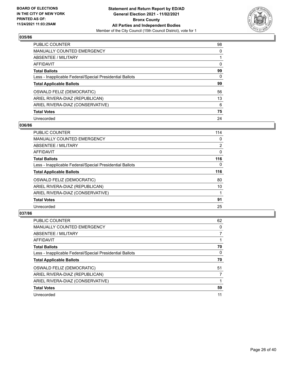

| <b>PUBLIC COUNTER</b>                                    | 98       |
|----------------------------------------------------------|----------|
| <b>MANUALLY COUNTED EMERGENCY</b>                        | $\Omega$ |
| ABSENTEE / MILITARY                                      |          |
| AFFIDAVIT                                                | 0        |
| <b>Total Ballots</b>                                     | 99       |
| Less - Inapplicable Federal/Special Presidential Ballots | 0        |
| <b>Total Applicable Ballots</b>                          | 99       |
| OSWALD FELIZ (DEMOCRATIC)                                | 56       |
| ARIEL RIVERA-DIAZ (REPUBLICAN)                           | 13       |
| ARIEL RIVERA-DIAZ (CONSERVATIVE)                         | 6        |
| <b>Total Votes</b>                                       | 75       |
| Unrecorded                                               | 24       |

#### **036/86**

| PUBLIC COUNTER                                           | 114            |
|----------------------------------------------------------|----------------|
| <b>MANUALLY COUNTED EMERGENCY</b>                        | 0              |
| ABSENTEE / MILITARY                                      | $\overline{2}$ |
| <b>AFFIDAVIT</b>                                         | $\Omega$       |
| <b>Total Ballots</b>                                     | 116            |
| Less - Inapplicable Federal/Special Presidential Ballots | $\Omega$       |
| <b>Total Applicable Ballots</b>                          | 116            |
| OSWALD FELIZ (DEMOCRATIC)                                | 80             |
| ARIEL RIVERA-DIAZ (REPUBLICAN)                           | 10             |
| ARIEL RIVERA-DIAZ (CONSERVATIVE)                         |                |
| <b>Total Votes</b>                                       | 91             |
| Unrecorded                                               | 25             |

| <b>PUBLIC COUNTER</b>                                    | 62       |
|----------------------------------------------------------|----------|
| <b>MANUALLY COUNTED EMERGENCY</b>                        | $\Omega$ |
| ABSENTEE / MILITARY                                      |          |
| <b>AFFIDAVIT</b>                                         |          |
| <b>Total Ballots</b>                                     | 70       |
| Less - Inapplicable Federal/Special Presidential Ballots | 0        |
| <b>Total Applicable Ballots</b>                          | 70       |
| OSWALD FELIZ (DEMOCRATIC)                                | 51       |
| ARIEL RIVERA-DIAZ (REPUBLICAN)                           |          |
| ARIEL RIVERA-DIAZ (CONSERVATIVE)                         |          |
| <b>Total Votes</b>                                       | 59       |
| Unrecorded                                               | 11       |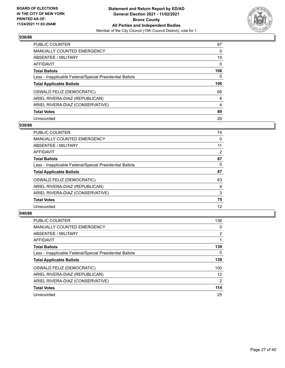

| PUBLIC COUNTER                                           | 87       |
|----------------------------------------------------------|----------|
| <b>MANUALLY COUNTED EMERGENCY</b>                        | $\Omega$ |
| ABSENTEE / MILITARY                                      | 19       |
| <b>AFFIDAVIT</b>                                         | $\Omega$ |
| <b>Total Ballots</b>                                     | 106      |
| Less - Inapplicable Federal/Special Presidential Ballots | 0        |
| <b>Total Applicable Ballots</b>                          | 106      |
| OSWALD FELIZ (DEMOCRATIC)                                | 68       |
| ARIEL RIVERA-DIAZ (REPUBLICAN)                           | 8        |
| ARIEL RIVERA-DIAZ (CONSERVATIVE)                         | 4        |
| <b>Total Votes</b>                                       | 80       |
| Unrecorded                                               | 26       |

#### **039/86**

| <b>PUBLIC COUNTER</b>                                    | 74 |
|----------------------------------------------------------|----|
| MANUALLY COUNTED EMERGENCY                               | 0  |
| ABSENTEE / MILITARY                                      | 11 |
| <b>AFFIDAVIT</b>                                         | 2  |
| <b>Total Ballots</b>                                     | 87 |
| Less - Inapplicable Federal/Special Presidential Ballots | 0  |
| <b>Total Applicable Ballots</b>                          | 87 |
| OSWALD FELIZ (DEMOCRATIC)                                | 63 |
| ARIEL RIVERA-DIAZ (REPUBLICAN)                           | 9  |
| ARIEL RIVERA-DIAZ (CONSERVATIVE)                         | 3  |
| <b>Total Votes</b>                                       | 75 |
| Unrecorded                                               | 12 |

| <b>PUBLIC COUNTER</b>                                    | 136            |
|----------------------------------------------------------|----------------|
| <b>MANUALLY COUNTED EMERGENCY</b>                        | 0              |
| ABSENTEE / MILITARY                                      | $\overline{2}$ |
| AFFIDAVIT                                                |                |
| <b>Total Ballots</b>                                     | 139            |
| Less - Inapplicable Federal/Special Presidential Ballots | $\Omega$       |
| <b>Total Applicable Ballots</b>                          | 139            |
| <b>OSWALD FELIZ (DEMOCRATIC)</b>                         | 100            |
| ARIEL RIVERA-DIAZ (REPUBLICAN)                           | 12             |
| ARIEL RIVERA-DIAZ (CONSERVATIVE)                         | $\overline{2}$ |
| <b>Total Votes</b>                                       | 114            |
| Unrecorded                                               | 25             |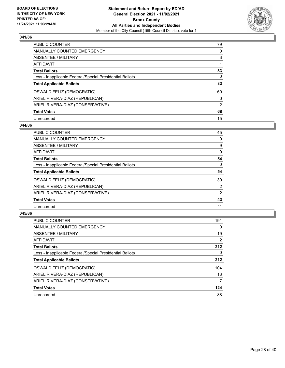

| <b>PUBLIC COUNTER</b>                                    | 79             |
|----------------------------------------------------------|----------------|
| MANUALLY COUNTED EMERGENCY                               | $\Omega$       |
| ABSENTEE / MILITARY                                      | 3              |
| AFFIDAVIT                                                |                |
| <b>Total Ballots</b>                                     | 83             |
| Less - Inapplicable Federal/Special Presidential Ballots | 0              |
| <b>Total Applicable Ballots</b>                          | 83             |
| OSWALD FELIZ (DEMOCRATIC)                                | 60             |
| ARIEL RIVERA-DIAZ (REPUBLICAN)                           | 6              |
| ARIEL RIVERA-DIAZ (CONSERVATIVE)                         | $\overline{2}$ |
| <b>Total Votes</b>                                       | 68             |
| Unrecorded                                               | 15             |

#### **044/86**

| PUBLIC COUNTER                                           | 45             |
|----------------------------------------------------------|----------------|
| <b>MANUALLY COUNTED EMERGENCY</b>                        | 0              |
| ABSENTEE / MILITARY                                      | 9              |
| <b>AFFIDAVIT</b>                                         | $\Omega$       |
| <b>Total Ballots</b>                                     | 54             |
| Less - Inapplicable Federal/Special Presidential Ballots | $\Omega$       |
| <b>Total Applicable Ballots</b>                          | 54             |
| OSWALD FELIZ (DEMOCRATIC)                                | 39             |
| ARIEL RIVERA-DIAZ (REPUBLICAN)                           | $\overline{2}$ |
| ARIEL RIVERA-DIAZ (CONSERVATIVE)                         | 2              |
| <b>Total Votes</b>                                       | 43             |
| Unrecorded                                               | 11             |

| <b>PUBLIC COUNTER</b>                                    | 191            |
|----------------------------------------------------------|----------------|
| <b>MANUALLY COUNTED EMERGENCY</b>                        | $\Omega$       |
| ABSENTEE / MILITARY                                      | 19             |
| <b>AFFIDAVIT</b>                                         | $\overline{2}$ |
| <b>Total Ballots</b>                                     | 212            |
| Less - Inapplicable Federal/Special Presidential Ballots | 0              |
| <b>Total Applicable Ballots</b>                          | 212            |
| OSWALD FELIZ (DEMOCRATIC)                                | 104            |
| ARIEL RIVERA-DIAZ (REPUBLICAN)                           | 13             |
| ARIEL RIVERA-DIAZ (CONSERVATIVE)                         | 7              |
| <b>Total Votes</b>                                       | 124            |
| Unrecorded                                               | 88             |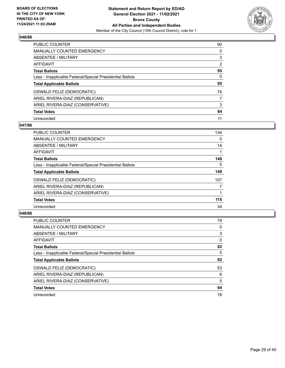

| <b>PUBLIC COUNTER</b>                                    | 90             |
|----------------------------------------------------------|----------------|
| <b>MANUALLY COUNTED EMERGENCY</b>                        | $\Omega$       |
| ABSENTEE / MILITARY                                      | 3              |
| AFFIDAVIT                                                | $\overline{2}$ |
| <b>Total Ballots</b>                                     | 95             |
| Less - Inapplicable Federal/Special Presidential Ballots | 0              |
| <b>Total Applicable Ballots</b>                          | 95             |
| OSWALD FELIZ (DEMOCRATIC)                                | 74             |
| ARIEL RIVERA-DIAZ (REPUBLICAN)                           | 7              |
| ARIEL RIVERA-DIAZ (CONSERVATIVE)                         | 3              |
| <b>Total Votes</b>                                       | 84             |
| Unrecorded                                               | 11             |

## **047/86**

| <b>PUBLIC COUNTER</b>                                    | 134      |
|----------------------------------------------------------|----------|
| MANUALLY COUNTED EMERGENCY                               | $\Omega$ |
| ABSENTEE / MILITARY                                      | 14       |
| <b>AFFIDAVIT</b>                                         |          |
| <b>Total Ballots</b>                                     | 149      |
| Less - Inapplicable Federal/Special Presidential Ballots | $\Omega$ |
| <b>Total Applicable Ballots</b>                          | 149      |
| OSWALD FELIZ (DEMOCRATIC)                                | 107      |
| ARIEL RIVERA-DIAZ (REPUBLICAN)                           | 7        |
| ARIEL RIVERA-DIAZ (CONSERVATIVE)                         |          |
| <b>Total Votes</b>                                       | 115      |
| Unrecorded                                               | 34       |

| PUBLIC COUNTER                                           | 79       |
|----------------------------------------------------------|----------|
| <b>MANUALLY COUNTED EMERGENCY</b>                        | 0        |
| ABSENTEE / MILITARY                                      | 3        |
| <b>AFFIDAVIT</b>                                         | $\Omega$ |
| <b>Total Ballots</b>                                     | 82       |
| Less - Inapplicable Federal/Special Presidential Ballots | $\Omega$ |
| <b>Total Applicable Ballots</b>                          | 82       |
| OSWALD FELIZ (DEMOCRATIC)                                | 53       |
| ARIEL RIVERA-DIAZ (REPUBLICAN)                           | 6        |
| ARIEL RIVERA-DIAZ (CONSERVATIVE)                         | 5        |
| <b>Total Votes</b>                                       | 64       |
| Unrecorded                                               | 18       |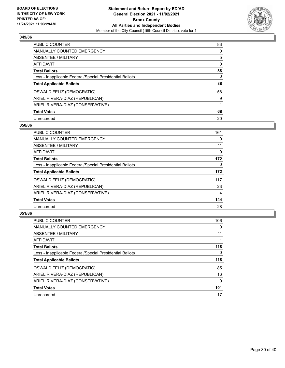

| <b>PUBLIC COUNTER</b>                                    | 83       |
|----------------------------------------------------------|----------|
| MANUALLY COUNTED EMERGENCY                               | $\Omega$ |
| ABSENTEE / MILITARY                                      | 5        |
| AFFIDAVIT                                                | $\Omega$ |
| <b>Total Ballots</b>                                     | 88       |
| Less - Inapplicable Federal/Special Presidential Ballots | 0        |
| <b>Total Applicable Ballots</b>                          | 88       |
| OSWALD FELIZ (DEMOCRATIC)                                | 58       |
| ARIEL RIVERA-DIAZ (REPUBLICAN)                           | 9        |
| ARIEL RIVERA-DIAZ (CONSERVATIVE)                         |          |
| <b>Total Votes</b>                                       | 68       |
| Unrecorded                                               | 20       |

#### **050/86**

| <b>PUBLIC COUNTER</b>                                    | 161      |
|----------------------------------------------------------|----------|
| <b>MANUALLY COUNTED EMERGENCY</b>                        | 0        |
| ABSENTEE / MILITARY                                      | 11       |
| <b>AFFIDAVIT</b>                                         | $\Omega$ |
| <b>Total Ballots</b>                                     | 172      |
| Less - Inapplicable Federal/Special Presidential Ballots | $\Omega$ |
| <b>Total Applicable Ballots</b>                          | 172      |
| OSWALD FELIZ (DEMOCRATIC)                                | 117      |
| ARIEL RIVERA-DIAZ (REPUBLICAN)                           | 23       |
| ARIEL RIVERA-DIAZ (CONSERVATIVE)                         | 4        |
| <b>Total Votes</b>                                       | 144      |
| Unrecorded                                               | 28       |

| PUBLIC COUNTER                                           | 106      |
|----------------------------------------------------------|----------|
| <b>MANUALLY COUNTED EMERGENCY</b>                        | 0        |
| ABSENTEE / MILITARY                                      | 11       |
| <b>AFFIDAVIT</b>                                         |          |
| <b>Total Ballots</b>                                     | 118      |
| Less - Inapplicable Federal/Special Presidential Ballots | $\Omega$ |
| <b>Total Applicable Ballots</b>                          | 118      |
| OSWALD FELIZ (DEMOCRATIC)                                | 85       |
| ARIEL RIVERA-DIAZ (REPUBLICAN)                           |          |
|                                                          | 16       |
| ARIEL RIVERA-DIAZ (CONSERVATIVE)                         | 0        |
| <b>Total Votes</b>                                       | 101      |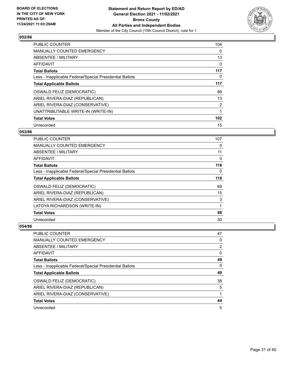

| <b>PUBLIC COUNTER</b>                                    | 104      |
|----------------------------------------------------------|----------|
| <b>MANUALLY COUNTED EMERGENCY</b>                        | $\Omega$ |
| ABSENTEE / MILITARY                                      | 13       |
| <b>AFFIDAVIT</b>                                         | 0        |
| <b>Total Ballots</b>                                     | 117      |
| Less - Inapplicable Federal/Special Presidential Ballots | 0        |
| <b>Total Applicable Ballots</b>                          | 117      |
| OSWALD FELIZ (DEMOCRATIC)                                | 86       |
| ARIEL RIVERA-DIAZ (REPUBLICAN)                           | 13       |
| ARIEL RIVERA-DIAZ (CONSERVATIVE)                         | 2        |
| UNATTRIBUTABLE WRITE-IN (WRITE-IN)                       |          |
| <b>Total Votes</b>                                       | 102      |
| Unrecorded                                               | 15       |

# **053/86**

| <b>PUBLIC COUNTER</b>                                    | 107 |
|----------------------------------------------------------|-----|
| <b>MANUALLY COUNTED EMERGENCY</b>                        | 0   |
| ABSENTEE / MILITARY                                      | 11  |
| AFFIDAVIT                                                | 0   |
| <b>Total Ballots</b>                                     | 118 |
| Less - Inapplicable Federal/Special Presidential Ballots | 0   |
| <b>Total Applicable Ballots</b>                          | 118 |
| <b>OSWALD FELIZ (DEMOCRATIC)</b>                         | 69  |
| ARIEL RIVERA-DIAZ (REPUBLICAN)                           | 15  |
| ARIEL RIVERA-DIAZ (CONSERVATIVE)                         | 3   |
| LATOYA RICHARDSON (WRITE-IN)                             | 1   |
| <b>Total Votes</b>                                       | 88  |
| Unrecorded                                               | 30  |

| <b>PUBLIC COUNTER</b>                                    | 47             |
|----------------------------------------------------------|----------------|
| <b>MANUALLY COUNTED EMERGENCY</b>                        | 0              |
| ABSENTEE / MILITARY                                      | $\overline{2}$ |
| AFFIDAVIT                                                | 0              |
| <b>Total Ballots</b>                                     | 49             |
| Less - Inapplicable Federal/Special Presidential Ballots | 0              |
| <b>Total Applicable Ballots</b>                          | 49             |
| OSWALD FELIZ (DEMOCRATIC)                                | 38             |
| ARIEL RIVERA-DIAZ (REPUBLICAN)                           | 5              |
| ARIEL RIVERA-DIAZ (CONSERVATIVE)                         |                |
| <b>Total Votes</b>                                       | 44             |
| Unrecorded                                               | 5              |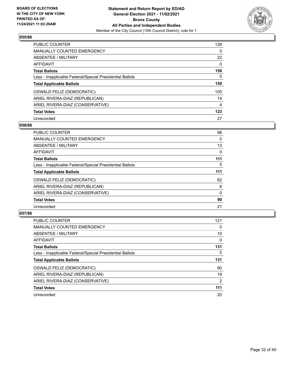

| <b>PUBLIC COUNTER</b>                                    | 128            |
|----------------------------------------------------------|----------------|
| MANUALLY COUNTED EMERGENCY                               | $\Omega$       |
| ABSENTEE / MILITARY                                      | 22             |
| AFFIDAVIT                                                | $\Omega$       |
| <b>Total Ballots</b>                                     | 150            |
| Less - Inapplicable Federal/Special Presidential Ballots | 0              |
| <b>Total Applicable Ballots</b>                          | 150            |
| OSWALD FELIZ (DEMOCRATIC)                                | 105            |
| ARIEL RIVERA-DIAZ (REPUBLICAN)                           | 14             |
| ARIEL RIVERA-DIAZ (CONSERVATIVE)                         | $\overline{4}$ |
| <b>Total Votes</b>                                       | 123            |
| Unrecorded                                               | 27             |

#### **056/86**

| <b>PUBLIC COUNTER</b>                                    | 98       |
|----------------------------------------------------------|----------|
| <b>MANUALLY COUNTED EMERGENCY</b>                        | 0        |
| ABSENTEE / MILITARY                                      | 13       |
| <b>AFFIDAVIT</b>                                         | 0        |
| <b>Total Ballots</b>                                     | 111      |
| Less - Inapplicable Federal/Special Presidential Ballots | $\Omega$ |
| <b>Total Applicable Ballots</b>                          | 111      |
| OSWALD FELIZ (DEMOCRATIC)                                | 82       |
| ARIEL RIVERA-DIAZ (REPUBLICAN)                           | 8        |
| ARIEL RIVERA-DIAZ (CONSERVATIVE)                         | 0        |
| <b>Total Votes</b>                                       | 90       |
| Unrecorded                                               | 21       |

| PUBLIC COUNTER                                           | 121 |
|----------------------------------------------------------|-----|
| <b>MANUALLY COUNTED EMERGENCY</b>                        | 0   |
| ABSENTEE / MILITARY                                      | 10  |
| <b>AFFIDAVIT</b>                                         | 0   |
| <b>Total Ballots</b>                                     | 131 |
| Less - Inapplicable Federal/Special Presidential Ballots | 0   |
| <b>Total Applicable Ballots</b>                          | 131 |
| OSWALD FELIZ (DEMOCRATIC)                                | 90  |
| ARIEL RIVERA-DIAZ (REPUBLICAN)                           | 19  |
| ARIEL RIVERA-DIAZ (CONSERVATIVE)                         | 2   |
| <b>Total Votes</b>                                       | 111 |
| Unrecorded                                               | 20  |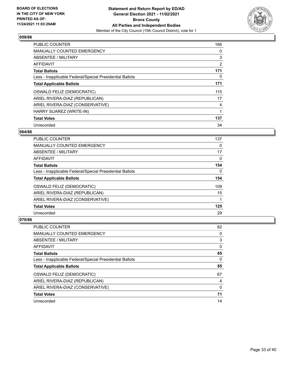

| <b>PUBLIC COUNTER</b>                                    | 166            |
|----------------------------------------------------------|----------------|
| <b>MANUALLY COUNTED EMERGENCY</b>                        | 0              |
| ABSENTEE / MILITARY                                      | 3              |
| <b>AFFIDAVIT</b>                                         | $\overline{2}$ |
| <b>Total Ballots</b>                                     | 171            |
| Less - Inapplicable Federal/Special Presidential Ballots | 0              |
| <b>Total Applicable Ballots</b>                          | 171            |
| OSWALD FELIZ (DEMOCRATIC)                                | 115            |
| ARIEL RIVERA-DIAZ (REPUBLICAN)                           | 17             |
| ARIEL RIVERA-DIAZ (CONSERVATIVE)                         | 4              |
| HARRY SUAREZ (WRITE-IN)                                  |                |
| <b>Total Votes</b>                                       | 137            |
| Unrecorded                                               | 34             |

## **064/86**

| <b>PUBLIC COUNTER</b>                                    | 137      |
|----------------------------------------------------------|----------|
| <b>MANUALLY COUNTED EMERGENCY</b>                        | 0        |
| ABSENTEE / MILITARY                                      | 17       |
| AFFIDAVIT                                                | $\Omega$ |
| <b>Total Ballots</b>                                     | 154      |
| Less - Inapplicable Federal/Special Presidential Ballots | 0        |
| <b>Total Applicable Ballots</b>                          | 154      |
| OSWALD FELIZ (DEMOCRATIC)                                | 109      |
| ARIEL RIVERA-DIAZ (REPUBLICAN)                           | 15       |
| ARIEL RIVERA-DIAZ (CONSERVATIVE)                         |          |
| <b>Total Votes</b>                                       | 125      |
| Unrecorded                                               | 29       |

| <b>PUBLIC COUNTER</b>                                    | 82       |
|----------------------------------------------------------|----------|
| <b>MANUALLY COUNTED EMERGENCY</b>                        | 0        |
| ABSENTEE / MILITARY                                      | 3        |
| AFFIDAVIT                                                | 0        |
| <b>Total Ballots</b>                                     | 85       |
| Less - Inapplicable Federal/Special Presidential Ballots | $\Omega$ |
| <b>Total Applicable Ballots</b>                          | 85       |
| OSWALD FELIZ (DEMOCRATIC)                                | 67       |
|                                                          |          |
| ARIEL RIVERA-DIAZ (REPUBLICAN)                           | 4        |
| ARIEL RIVERA-DIAZ (CONSERVATIVE)                         | 0        |
| <b>Total Votes</b>                                       | 71       |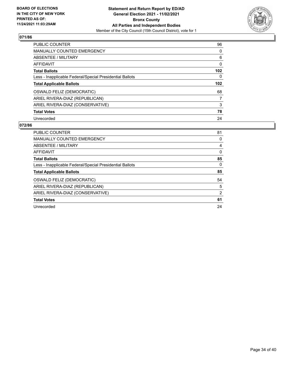

| PUBLIC COUNTER                                           | 96               |
|----------------------------------------------------------|------------------|
| <b>MANUALLY COUNTED EMERGENCY</b>                        | $\Omega$         |
| ABSENTEE / MILITARY                                      | 6                |
| <b>AFFIDAVIT</b>                                         | 0                |
| <b>Total Ballots</b>                                     | 102 <sub>2</sub> |
| Less - Inapplicable Federal/Special Presidential Ballots | 0                |
| <b>Total Applicable Ballots</b>                          | 102 <sub>2</sub> |
| OSWALD FELIZ (DEMOCRATIC)                                | 68               |
| ARIEL RIVERA-DIAZ (REPUBLICAN)                           | 7                |
| ARIEL RIVERA-DIAZ (CONSERVATIVE)                         | 3                |
| <b>Total Votes</b>                                       | 78               |
| Unrecorded                                               | 24               |

| <b>PUBLIC COUNTER</b>                                    | 81 |
|----------------------------------------------------------|----|
| <b>MANUALLY COUNTED EMERGENCY</b>                        | 0  |
| ABSENTEE / MILITARY                                      | 4  |
| AFFIDAVIT                                                | 0  |
| <b>Total Ballots</b>                                     | 85 |
| Less - Inapplicable Federal/Special Presidential Ballots | 0  |
| <b>Total Applicable Ballots</b>                          | 85 |
| OSWALD FELIZ (DEMOCRATIC)                                | 54 |
| ARIEL RIVERA-DIAZ (REPUBLICAN)                           | 5  |
| ARIEL RIVERA-DIAZ (CONSERVATIVE)                         | 2  |
| <b>Total Votes</b>                                       | 61 |
| Unrecorded                                               | 24 |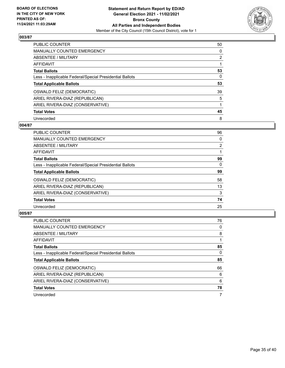

| <b>PUBLIC COUNTER</b>                                    | 50             |
|----------------------------------------------------------|----------------|
| <b>MANUALLY COUNTED EMERGENCY</b>                        | 0              |
| ABSENTEE / MILITARY                                      | $\overline{2}$ |
| AFFIDAVIT                                                |                |
| <b>Total Ballots</b>                                     | 53             |
| Less - Inapplicable Federal/Special Presidential Ballots | 0              |
| <b>Total Applicable Ballots</b>                          | 53             |
| OSWALD FELIZ (DEMOCRATIC)                                | 39             |
| ARIEL RIVERA-DIAZ (REPUBLICAN)                           | 5              |
| ARIEL RIVERA-DIAZ (CONSERVATIVE)                         |                |
| <b>Total Votes</b>                                       | 45             |
| Unrecorded                                               | 8              |

#### **004/87**

| <b>PUBLIC COUNTER</b>                                    | 96             |
|----------------------------------------------------------|----------------|
| <b>MANUALLY COUNTED EMERGENCY</b>                        | 0              |
| ABSENTEE / MILITARY                                      | $\overline{2}$ |
| <b>AFFIDAVIT</b>                                         |                |
| <b>Total Ballots</b>                                     | 99             |
| Less - Inapplicable Federal/Special Presidential Ballots | $\Omega$       |
| <b>Total Applicable Ballots</b>                          | 99             |
| OSWALD FELIZ (DEMOCRATIC)                                | 58             |
| ARIEL RIVERA-DIAZ (REPUBLICAN)                           | 13             |
| ARIEL RIVERA-DIAZ (CONSERVATIVE)                         | 3              |
| <b>Total Votes</b>                                       | 74             |
| Unrecorded                                               | 25             |

| <b>PUBLIC COUNTER</b>                                    | 76       |
|----------------------------------------------------------|----------|
| <b>MANUALLY COUNTED EMERGENCY</b>                        | 0        |
| ABSENTEE / MILITARY                                      | 8        |
| AFFIDAVIT                                                |          |
| <b>Total Ballots</b>                                     | 85       |
| Less - Inapplicable Federal/Special Presidential Ballots | $\Omega$ |
| <b>Total Applicable Ballots</b>                          | 85       |
| OSWALD FELIZ (DEMOCRATIC)                                | 66       |
| ARIEL RIVERA-DIAZ (REPUBLICAN)                           | 6        |
| ARIEL RIVERA-DIAZ (CONSERVATIVE)                         | 6        |
| <b>Total Votes</b>                                       | 78       |
| Unrecorded                                               | 7        |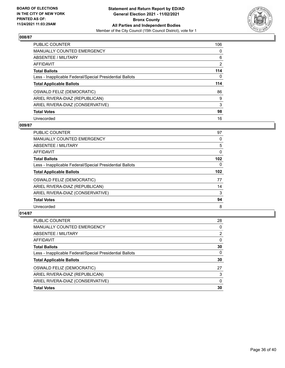

| <b>PUBLIC COUNTER</b>                                    | 106            |
|----------------------------------------------------------|----------------|
| MANUALLY COUNTED EMERGENCY                               | $\Omega$       |
| ABSENTEE / MILITARY                                      | 6              |
| AFFIDAVIT                                                | $\overline{2}$ |
| <b>Total Ballots</b>                                     | 114            |
| Less - Inapplicable Federal/Special Presidential Ballots | $\Omega$       |
| <b>Total Applicable Ballots</b>                          | 114            |
| OSWALD FELIZ (DEMOCRATIC)                                | 86             |
| ARIEL RIVERA-DIAZ (REPUBLICAN)                           | 9              |
| ARIEL RIVERA-DIAZ (CONSERVATIVE)                         | 3              |
| <b>Total Votes</b>                                       | 98             |
| Unrecorded                                               | 16             |

#### **009/87**

| PUBLIC COUNTER                                           | 97       |
|----------------------------------------------------------|----------|
| <b>MANUALLY COUNTED EMERGENCY</b>                        | 0        |
| ABSENTEE / MILITARY                                      | 5        |
| <b>AFFIDAVIT</b>                                         | 0        |
| <b>Total Ballots</b>                                     | 102      |
| Less - Inapplicable Federal/Special Presidential Ballots | $\Omega$ |
| <b>Total Applicable Ballots</b>                          | 102      |
| OSWALD FELIZ (DEMOCRATIC)                                | 77       |
| ARIEL RIVERA-DIAZ (REPUBLICAN)                           | 14       |
| ARIEL RIVERA-DIAZ (CONSERVATIVE)                         | 3        |
| <b>Total Votes</b>                                       | 94       |
| Unrecorded                                               | 8        |

| PUBLIC COUNTER                                           | 28       |
|----------------------------------------------------------|----------|
| <b>MANUALLY COUNTED EMERGENCY</b>                        | 0        |
| <b>ABSENTEE / MILITARY</b>                               | 2        |
| AFFIDAVIT                                                | $\Omega$ |
| <b>Total Ballots</b>                                     | 30       |
| Less - Inapplicable Federal/Special Presidential Ballots | 0        |
| <b>Total Applicable Ballots</b>                          | 30       |
| OSWALD FELIZ (DEMOCRATIC)                                | 27       |
| ARIEL RIVERA-DIAZ (REPUBLICAN)                           | 3        |
| ARIEL RIVERA-DIAZ (CONSERVATIVE)                         | 0        |
| <b>Total Votes</b>                                       | 30       |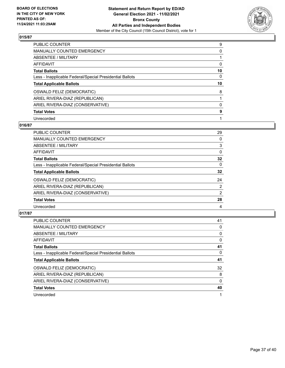

| <b>PUBLIC COUNTER</b>                                    | 9        |
|----------------------------------------------------------|----------|
| <b>MANUALLY COUNTED EMERGENCY</b>                        | 0        |
| ABSENTEE / MILITARY                                      |          |
| AFFIDAVIT                                                | 0        |
| <b>Total Ballots</b>                                     | 10       |
| Less - Inapplicable Federal/Special Presidential Ballots | $\Omega$ |
| <b>Total Applicable Ballots</b>                          | 10       |
| OSWALD FELIZ (DEMOCRATIC)                                | 8        |
| ARIEL RIVERA-DIAZ (REPUBLICAN)                           |          |
| ARIEL RIVERA-DIAZ (CONSERVATIVE)                         | 0        |
| <b>Total Votes</b>                                       | 9        |
| Unrecorded                                               |          |

## **016/87**

| <b>PUBLIC COUNTER</b>                                    | 29             |
|----------------------------------------------------------|----------------|
| <b>MANUALLY COUNTED EMERGENCY</b>                        | 0              |
| ABSENTEE / MILITARY                                      | 3              |
| AFFIDAVIT                                                | $\Omega$       |
| <b>Total Ballots</b>                                     | 32             |
| Less - Inapplicable Federal/Special Presidential Ballots | $\Omega$       |
| <b>Total Applicable Ballots</b>                          | 32             |
| OSWALD FELIZ (DEMOCRATIC)                                | 24             |
| ARIEL RIVERA-DIAZ (REPUBLICAN)                           | $\overline{2}$ |
| ARIEL RIVERA-DIAZ (CONSERVATIVE)                         | 2              |
| <b>Total Votes</b>                                       | 28             |
| Unrecorded                                               | 4              |

| <b>PUBLIC COUNTER</b>                                    | 41       |
|----------------------------------------------------------|----------|
| <b>MANUALLY COUNTED EMERGENCY</b>                        | 0        |
| ABSENTEE / MILITARY                                      | 0        |
| <b>AFFIDAVIT</b>                                         | 0        |
| <b>Total Ballots</b>                                     | 41       |
| Less - Inapplicable Federal/Special Presidential Ballots | 0        |
| <b>Total Applicable Ballots</b>                          | 41       |
| OSWALD FELIZ (DEMOCRATIC)                                | 32       |
| ARIEL RIVERA-DIAZ (REPUBLICAN)                           | 8        |
| ARIEL RIVERA-DIAZ (CONSERVATIVE)                         | $\Omega$ |
| <b>Total Votes</b>                                       | 40       |
| Unrecorded                                               |          |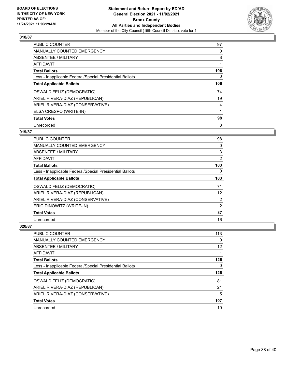

| <b>PUBLIC COUNTER</b>                                    | 97  |
|----------------------------------------------------------|-----|
| <b>MANUALLY COUNTED EMERGENCY</b>                        | 0   |
| ABSENTEE / MILITARY                                      | 8   |
| <b>AFFIDAVIT</b>                                         |     |
| <b>Total Ballots</b>                                     | 106 |
| Less - Inapplicable Federal/Special Presidential Ballots | 0   |
| <b>Total Applicable Ballots</b>                          | 106 |
| OSWALD FELIZ (DEMOCRATIC)                                | 74  |
| ARIEL RIVERA-DIAZ (REPUBLICAN)                           | 19  |
| ARIEL RIVERA-DIAZ (CONSERVATIVE)                         | 4   |
| ELSA CRESPO (WRITE-IN)                                   |     |
| <b>Total Votes</b>                                       | 98  |
| Unrecorded                                               | 8   |

# **019/87**

| <b>PUBLIC COUNTER</b>                                    | 98             |
|----------------------------------------------------------|----------------|
| MANUALLY COUNTED EMERGENCY                               | 0              |
| ABSENTEE / MILITARY                                      | 3              |
| AFFIDAVIT                                                | 2              |
| <b>Total Ballots</b>                                     | 103            |
| Less - Inapplicable Federal/Special Presidential Ballots | 0              |
| <b>Total Applicable Ballots</b>                          | 103            |
| OSWALD FELIZ (DEMOCRATIC)                                | 71             |
| ARIEL RIVERA-DIAZ (REPUBLICAN)                           | 12             |
| ARIEL RIVERA-DIAZ (CONSERVATIVE)                         | $\overline{2}$ |
| ERIC DINOWITZ (WRITE-IN)                                 | 2              |
| <b>Total Votes</b>                                       | 87             |
| Unrecorded                                               | 16             |

| PUBLIC COUNTER                                           | 113 |
|----------------------------------------------------------|-----|
| <b>MANUALLY COUNTED EMERGENCY</b>                        | 0   |
| ABSENTEE / MILITARY                                      | 12  |
| AFFIDAVIT                                                |     |
| <b>Total Ballots</b>                                     | 126 |
| Less - Inapplicable Federal/Special Presidential Ballots | 0   |
| <b>Total Applicable Ballots</b>                          | 126 |
| OSWALD FELIZ (DEMOCRATIC)                                | 81  |
| ARIEL RIVERA-DIAZ (REPUBLICAN)                           | 21  |
| ARIEL RIVERA-DIAZ (CONSERVATIVE)                         | 5   |
| <b>Total Votes</b>                                       | 107 |
|                                                          |     |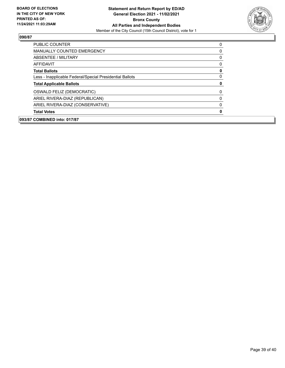

| PUBLIC COUNTER                                           | 0            |
|----------------------------------------------------------|--------------|
| MANUALLY COUNTED EMERGENCY                               | 0            |
| ABSENTEE / MILITARY                                      | 0            |
| AFFIDAVIT                                                | 0            |
| <b>Total Ballots</b>                                     | $\mathbf 0$  |
| Less - Inapplicable Federal/Special Presidential Ballots | $\mathbf{0}$ |
| <b>Total Applicable Ballots</b>                          | 0            |
| OSWALD FELIZ (DEMOCRATIC)                                | 0            |
| ARIEL RIVERA-DIAZ (REPUBLICAN)                           | 0            |
| ARIEL RIVERA-DIAZ (CONSERVATIVE)                         | 0            |
| <b>Total Votes</b>                                       | $\mathbf{0}$ |
| 093/87 COMBINED into: 017/87                             |              |